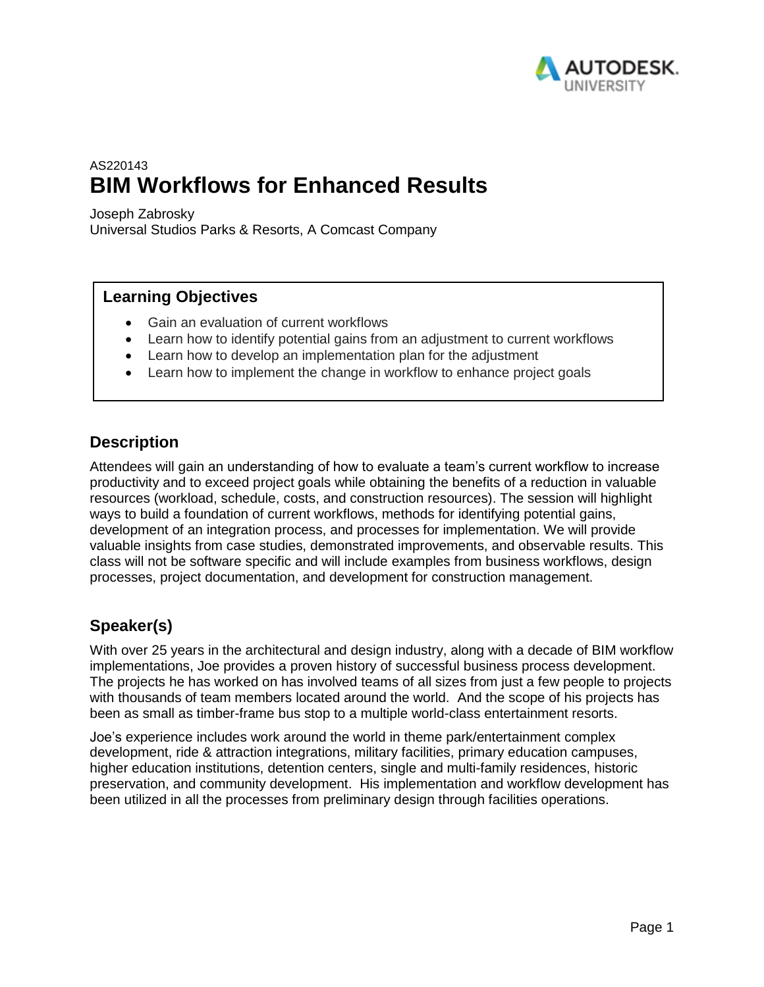

# AS220143 **BIM Workflows for Enhanced Results**

Joseph Zabrosky

Universal Studios Parks & Resorts, A Comcast Company

# **Learning Objectives**

- Gain an evaluation of current workflows
- Learn how to identify potential gains from an adjustment to current workflows
- Learn how to develop an implementation plan for the adjustment
- Learn how to implement the change in workflow to enhance project goals

# **Description**

Attendees will gain an understanding of how to evaluate a team's current workflow to increase productivity and to exceed project goals while obtaining the benefits of a reduction in valuable resources (workload, schedule, costs, and construction resources). The session will highlight ways to build a foundation of current workflows, methods for identifying potential gains, development of an integration process, and processes for implementation. We will provide valuable insights from case studies, demonstrated improvements, and observable results. This class will not be software specific and will include examples from business workflows, design processes, project documentation, and development for construction management.

# **Speaker(s)**

With over 25 years in the architectural and design industry, along with a decade of BIM workflow implementations, Joe provides a proven history of successful business process development. The projects he has worked on has involved teams of all sizes from just a few people to projects with thousands of team members located around the world. And the scope of his projects has been as small as timber-frame bus stop to a multiple world-class entertainment resorts.

Joe's experience includes work around the world in theme park/entertainment complex development, ride & attraction integrations, military facilities, primary education campuses, higher education institutions, detention centers, single and multi-family residences, historic preservation, and community development. His implementation and workflow development has been utilized in all the processes from preliminary design through facilities operations.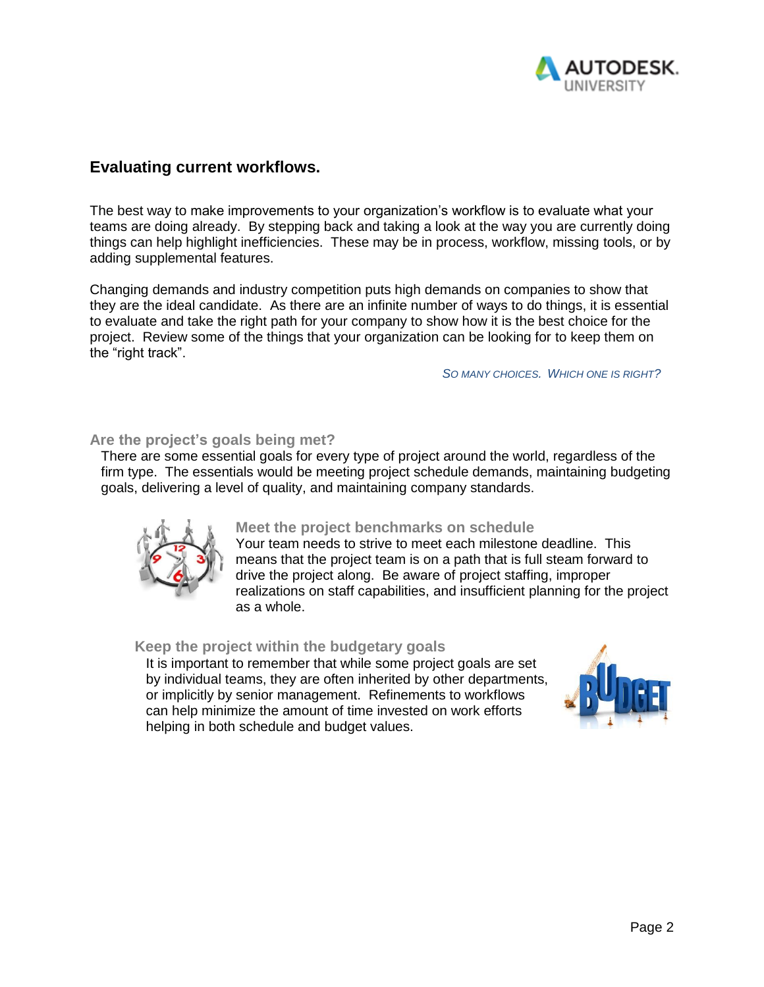

# **Evaluating current workflows.**

The best way to make improvements to your organization's workflow is to evaluate what your teams are doing already. By stepping back and taking a look at the way you are currently doing things can help highlight inefficiencies. These may be in process, workflow, missing tools, or by adding supplemental features.

Changing demands and industry competition puts high demands on companies to show that they are the ideal candidate. As there are an infinite number of ways to do things, it is essential to evaluate and take the right path for your company to show how it is the best choice for the project. Review some of the things that your organization can be looking for to keep them on the "right track".

#### *SO MANY CHOICES. WHICH ONE IS RIGHT?*

## **Are the project's goals being met?**

There are some essential goals for every type of project around the world, regardless of the firm type. The essentials would be meeting project schedule demands, maintaining budgeting goals, delivering a level of quality, and maintaining company standards.



# **Meet the project benchmarks on schedule**

Your team needs to strive to meet each milestone deadline. This means that the project team is on a path that is full steam forward to drive the project along. Be aware of project staffing, improper realizations on staff capabilities, and insufficient planning for the project as a whole.

# **Keep the project within the budgetary goals**

It is important to remember that while some project goals are set by individual teams, they are often inherited by other departments, or implicitly by senior management. Refinements to workflows can help minimize the amount of time invested on work efforts helping in both schedule and budget values.

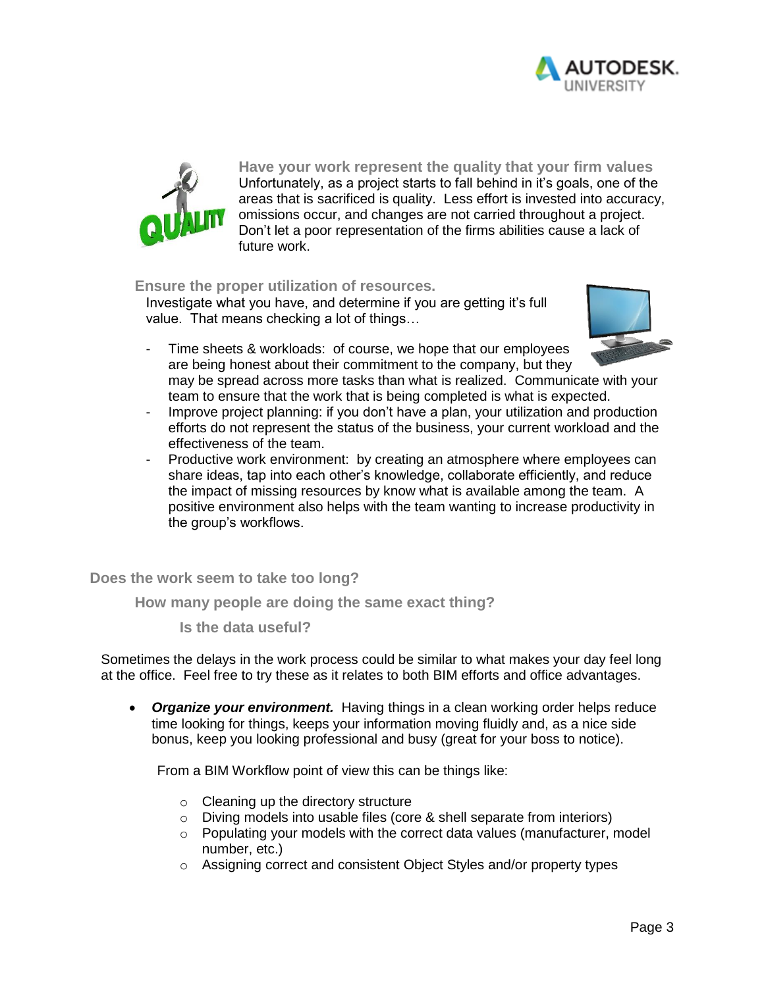



**Have your work represent the quality that your firm values** Unfortunately, as a project starts to fall behind in it's goals, one of the areas that is sacrificed is quality. Less effort is invested into accuracy, omissions occur, and changes are not carried throughout a project. Don't let a poor representation of the firms abilities cause a lack of future work.

## **Ensure the proper utilization of resources.**

Investigate what you have, and determine if you are getting it's full value. That means checking a lot of things…



- Time sheets & workloads: of course, we hope that our employees are being honest about their commitment to the company, but they may be spread across more tasks than what is realized. Communicate with your team to ensure that the work that is being completed is what is expected.
- Improve project planning: if you don't have a plan, your utilization and production efforts do not represent the status of the business, your current workload and the effectiveness of the team.
- Productive work environment: by creating an atmosphere where employees can share ideas, tap into each other's knowledge, collaborate efficiently, and reduce the impact of missing resources by know what is available among the team. A positive environment also helps with the team wanting to increase productivity in the group's workflows.

**Does the work seem to take too long?**

**How many people are doing the same exact thing?**

**Is the data useful?**

Sometimes the delays in the work process could be similar to what makes your day feel long at the office. Feel free to try these as it relates to both BIM efforts and office advantages.

 *Organize your environment.* Having things in a clean working order helps reduce time looking for things, keeps your information moving fluidly and, as a nice side bonus, keep you looking professional and busy (great for your boss to notice).

From a BIM Workflow point of view this can be things like:

- o Cleaning up the directory structure
- o Diving models into usable files (core & shell separate from interiors)
- $\circ$  Populating your models with the correct data values (manufacturer, model number, etc.)
- o Assigning correct and consistent Object Styles and/or property types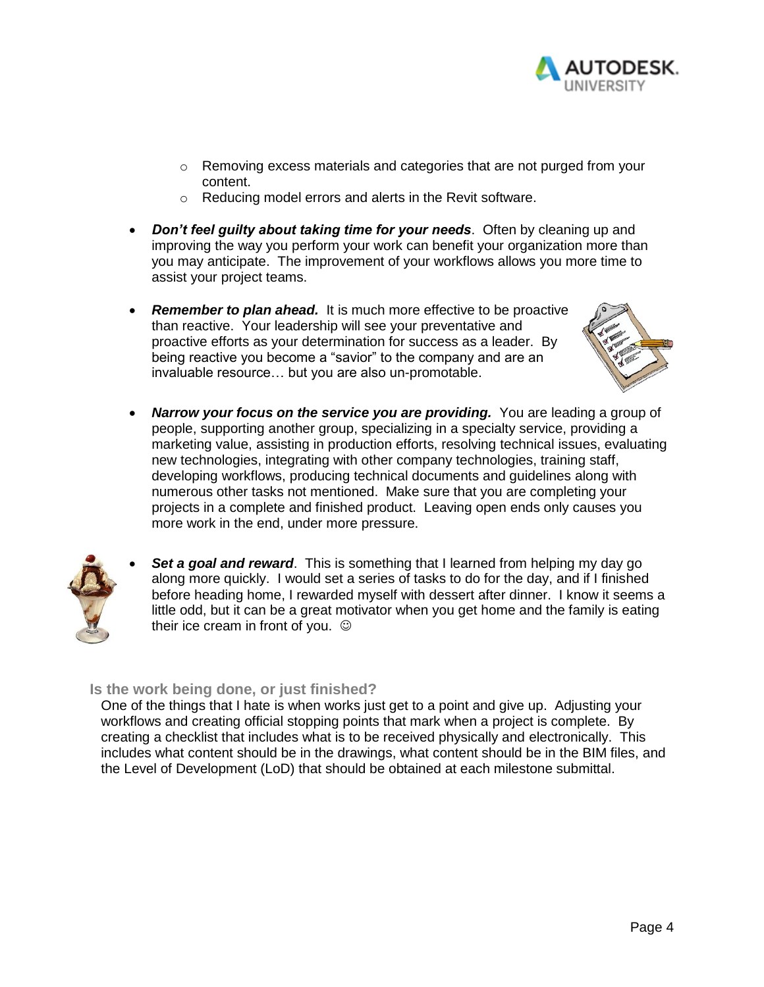

- o Removing excess materials and categories that are not purged from your content.
- o Reducing model errors and alerts in the Revit software.
- *Don't feel guilty about taking time for your needs*. Often by cleaning up and improving the way you perform your work can benefit your organization more than you may anticipate. The improvement of your workflows allows you more time to assist your project teams.
- **Remember to plan ahead.** It is much more effective to be proactive than reactive. Your leadership will see your preventative and proactive efforts as your determination for success as a leader. By being reactive you become a "savior" to the company and are an invaluable resource… but you are also un-promotable.



 *Narrow your focus on the service you are providing.* You are leading a group of people, supporting another group, specializing in a specialty service, providing a marketing value, assisting in production efforts, resolving technical issues, evaluating new technologies, integrating with other company technologies, training staff, developing workflows, producing technical documents and guidelines along with numerous other tasks not mentioned. Make sure that you are completing your projects in a complete and finished product. Leaving open ends only causes you more work in the end, under more pressure.



**Set a goal and reward**. This is something that I learned from helping my day go along more quickly. I would set a series of tasks to do for the day, and if I finished before heading home, I rewarded myself with dessert after dinner. I know it seems a little odd, but it can be a great motivator when you get home and the family is eating their ice cream in front of you.

# **Is the work being done, or just finished?**

One of the things that I hate is when works just get to a point and give up. Adjusting your workflows and creating official stopping points that mark when a project is complete. By creating a checklist that includes what is to be received physically and electronically. This includes what content should be in the drawings, what content should be in the BIM files, and the Level of Development (LoD) that should be obtained at each milestone submittal.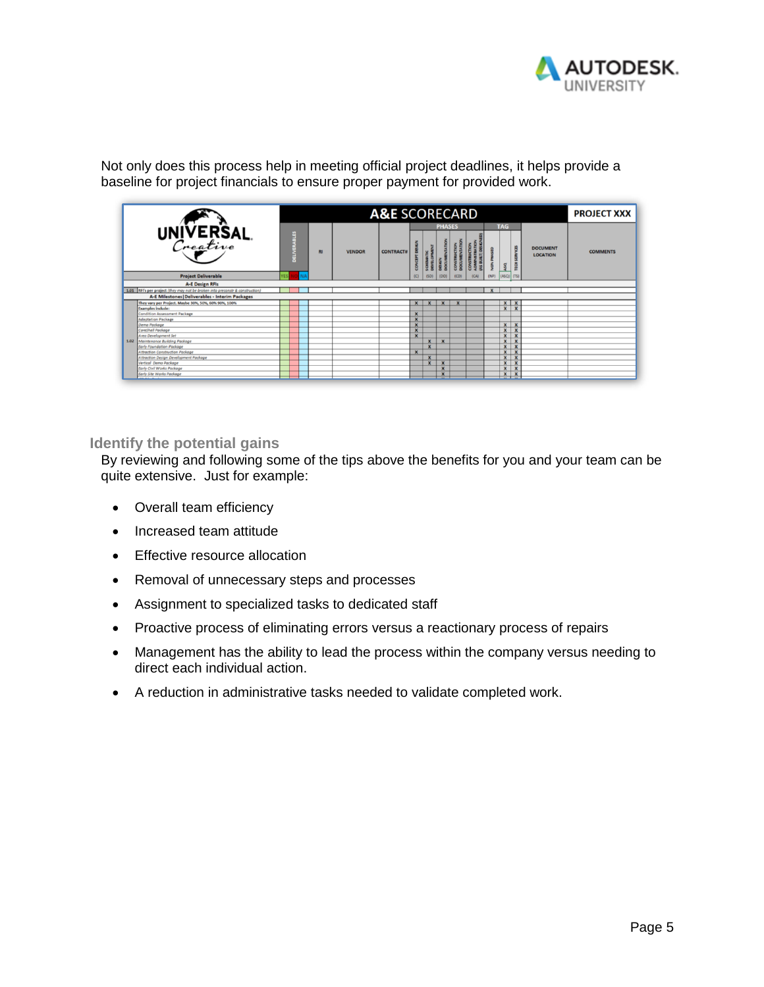

Not only does this process help in meeting official project deadlines, it helps provide a baseline for project financials to ensure proper payment for provided work.

|                                                  |                                                                               |            |  | <b>PROJECT XXX</b> |           |               |                  |                           |                         |                           |      |      |      |                           |                           |                                    |                 |
|--------------------------------------------------|-------------------------------------------------------------------------------|------------|--|--------------------|-----------|---------------|------------------|---------------------------|-------------------------|---------------------------|------|------|------|---------------------------|---------------------------|------------------------------------|-----------------|
| UNIVERSAL<br>Creative                            |                                                                               |            |  |                    | <b>RI</b> | <b>VENDOR</b> | <b>CONTRACT#</b> |                           | MIK                     | <b>PHASES</b>             |      |      |      | <b>TAG</b><br>ASΩ         | <b>SERVICES</b><br>TECH   | <b>DOCUMENT</b><br><b>LOCATION</b> | <b>COMMENTS</b> |
|                                                  | <b>Project Deliverable</b>                                                    | <b>/ES</b> |  | NΑ                 |           |               |                  | 8<br>(C)                  | c<br>(SD)               | (DD)                      | (CD) | (CA) | (NP) | $(ASQ)$ (TS)              |                           |                                    |                 |
| <b>A-E Design RFIs</b>                           |                                                                               |            |  |                    |           |               |                  |                           |                         |                           |      |      |      |                           |                           |                                    |                 |
|                                                  | 1.01 RFI's per project (they may not be broken into preconstr & construction) |            |  |                    |           |               |                  |                           |                         |                           |      |      |      |                           |                           |                                    |                 |
| A-E Milestones   Deliverables - Interim Packages |                                                                               |            |  |                    |           |               |                  |                           |                         |                           |      |      |      |                           |                           |                                    |                 |
|                                                  | They vary per Project. Maybe 30%, 50%, 60% 90%, 100%                          |            |  |                    |           |               |                  | $\mathbf{x}$              | $\mathbf{x}$            | $\mathbf{x}$              |      |      |      |                           | $x \over x$               |                                    |                 |
|                                                  | <b>Examples include:</b>                                                      |            |  |                    |           |               |                  |                           |                         |                           |      |      |      |                           |                           |                                    |                 |
|                                                  | <b>Condition Assessment Package</b>                                           |            |  |                    |           |               |                  | $\mathbf{x}$              |                         |                           |      |      |      |                           |                           |                                    |                 |
|                                                  | <b>Adaptation Package</b>                                                     |            |  |                    |           |               |                  | $\mathbf{x}$              |                         |                           |      |      |      |                           |                           |                                    |                 |
|                                                  | Demo Package                                                                  |            |  |                    |           |               |                  | $\mathbf{x}$              |                         |                           |      |      |      | $\mathbf{x}$              | $\mathbf{x}$              |                                    |                 |
|                                                  | CoreShell Package                                                             |            |  |                    |           |               |                  | $\boldsymbol{\mathsf{x}}$ |                         |                           |      |      |      | $\pmb{\times}$            | $\boldsymbol{\mathsf{x}}$ |                                    |                 |
|                                                  | Area Development Set                                                          |            |  |                    |           |               |                  | $\overline{\mathbf{x}}$   |                         |                           |      |      |      | $\overline{\mathbf{x}}$   | $\mathbf{x}$              |                                    |                 |
|                                                  | 1.02 Maintenance Building Package                                             |            |  |                    |           |               |                  |                           | $\mathbf x$             | $\boldsymbol{\mathsf{x}}$ |      |      |      | $\boldsymbol{\mathsf{x}}$ | $\boldsymbol{\mathsf{x}}$ |                                    |                 |
|                                                  | Early Foundation Package                                                      |            |  |                    |           |               |                  |                           | $\mathbf x$             |                           |      |      |      | $\pmb{\times}$            | $\boldsymbol{x}$          |                                    |                 |
|                                                  | Attraction Construction Package                                               |            |  |                    |           |               |                  | $\overline{\mathbf{x}}$   |                         |                           |      |      |      | $\pmb{\mathsf{x}}$        | $\overline{\mathbf{x}}$   |                                    |                 |
|                                                  | Attraction Design Development Package                                         |            |  |                    |           |               |                  |                           | $\boldsymbol{x}$        |                           |      |      |      | X                         | $\boldsymbol{x}$          |                                    |                 |
|                                                  | Vertical Demo Package                                                         |            |  |                    |           |               |                  |                           | $\overline{\mathbf{x}}$ | $\overline{\mathbf{x}}$   |      |      |      | $\pmb{\times}$            | $\overline{\mathbf{x}}$   |                                    |                 |
|                                                  | Early Civil Works Package                                                     |            |  |                    |           |               |                  |                           |                         | $\overline{\mathbf{x}}$   |      |      |      | $\overline{\mathbf{x}}$   | $\overline{\mathbf{x}}$   |                                    |                 |
|                                                  | Early Site Works Package                                                      |            |  |                    |           |               |                  |                           |                         | $\mathbf{x}$              |      |      |      | $\mathbf x$               | $\mathbf x$               |                                    |                 |

#### **Identify the potential gains**

By reviewing and following some of the tips above the benefits for you and your team can be quite extensive. Just for example:

- Overall team efficiency
- Increased team attitude
- Effective resource allocation
- Removal of unnecessary steps and processes
- Assignment to specialized tasks to dedicated staff
- Proactive process of eliminating errors versus a reactionary process of repairs
- Management has the ability to lead the process within the company versus needing to direct each individual action.
- A reduction in administrative tasks needed to validate completed work.